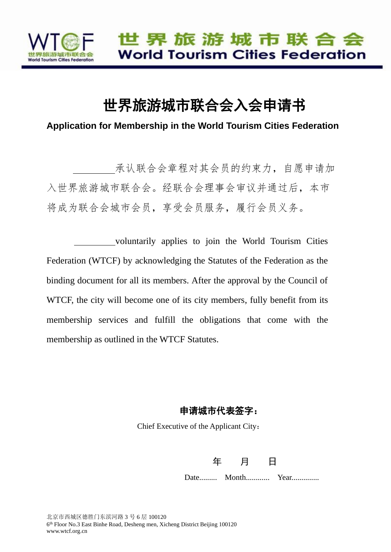

# 世界旅游城市联合会入会申请书

**Application for Membership in the World Tourism Cities Federation**

 承认联合会章程对其会员的约束力,自愿申请加 入世界旅游城市联合会。经联合会理事会审议并通过后,本市 将成为联合会城市会员,享受会员服务,履行会员义务。

 voluntarily applies to join the World Tourism Cities Federation (WTCF) by acknowledging the Statutes of the Federation as the binding document for all its members. After the approval by the Council of WTCF, the city will become one of its city members, fully benefit from its membership services and fulfill the obligations that come with the membership as outlined in the WTCF Statutes.

#### 申请城市代表签字:

Chief Executive of the Applicant City:

年 月 日

Date......... Month............ Year..............